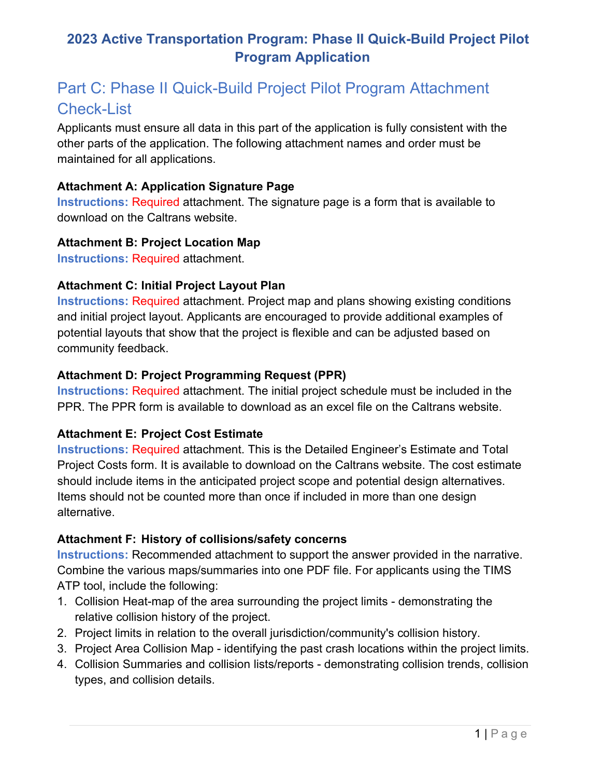# **2023 Active Transportation Program: Phase II Quick-Build Project Pilot Program Application**

# Part C: Phase II Quick-Build Project Pilot Program Attachment Check-List

 Applicants must ensure all data in this part of the application is fully consistent with the maintained for all applications. other parts of the application. The following attachment names and order must be

#### **Attachment A: Application Signature Page**

 download on the Caltrans website. **Instructions: Required attachment. The signature page is a form that is available to** 

#### **Attachment B: Project Location Map**

**Instructions:** Required attachment.

# **Attachment C: Initial Project Layout Plan**

 **Instructions:** Required attachment. Project map and plans showing existing conditions and initial project layout. Applicants are encouraged to provide additional examples of potential layouts that show that the project is flexible and can be adjusted based on community feedback.

# **Attachment D: Project Programming Request (PPR)**

 **Instructions:** Required attachment. The initial project schedule must be included in the PPR. The PPR form is available to download as an excel file on the Caltrans website.

# **Attachment E: Project Cost Estimate**

 **Instructions:** Required attachment. This is the Detailed Engineer's Estimate and Total Project Costs form. It is available to download on the Caltrans website. The cost estimate Items should not be counted more than once if included in more than one design should include items in the anticipated project scope and potential design alternatives. alternative.

# **Attachment F: History of collisions/safety concerns**

Instructions: Recommended attachment to support the answer provided in the narrative. **Instructions:** Recommended attachment to support the answer provided in the narrative.<br>Combine the various maps/summaries into one PDF file. For applicants using the TIMS ATP tool, include the following:

- 1. Collision Heat-map of the area surrounding the project limits demonstrating the relative collision history of the project.
- 2. Project limits in relation to the overall jurisdiction/community's collision history.
- 3. Project Area Collision Map identifying the past crash locations within the project limits.
- 4. Collision Summaries and collision lists/reports demonstrating collision trends, collision types, and collision details.